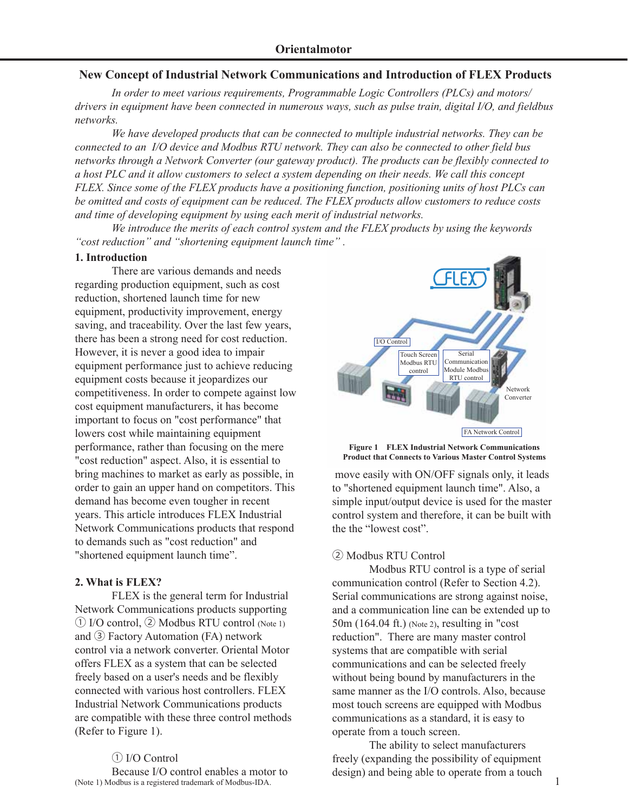### **New Concept of Industrial Network Communications and Introduction of FLEX Products**

 *In order to meet various requirements, Programmable Logic Controllers (PLCs) and motors/ drivers in equipment have been connected in numerous ways, such as pulse train, digital I/O, and fieldbus networks.*

 *We have developed products that can be connected to multiple industrial networks. They can be connected to an I/O device and Modbus RTU network. They can also be connected to other field bus networks through a Network Converter (our gateway product). The products can be flexibly connected to a host PLC and it allow customers to select a system depending on their needs. We call this concept FLEX. Since some of the FLEX products have a positioning function, positioning units of host PLCs can be omitted and costs of equipment can be reduced. The FLEX products allow customers to reduce costs and time of developing equipment by using each merit of industrial networks.*

 *We introduce the merits of each control system and the FLEX products by using the keywords "cost reduction" and "shortening equipment launch time" .*

#### **1. Introduction**

There are various demands and needs regarding production equipment, such as cost reduction, shortened launch time for new equipment, productivity improvement, energy saving, and traceability. Over the last few years, there has been a strong need for cost reduction. However, it is never a good idea to impair equipment performance just to achieve reducing equipment costs because it jeopardizes our competitiveness. In order to compete against low cost equipment manufacturers, it has become important to focus on "cost performance" that lowers cost while maintaining equipment performance, rather than focusing on the mere "cost reduction" aspect. Also, it is essential to bring machines to market as early as possible, in order to gain an upper hand on competitors. This demand has become even tougher in recent years. This article introduces FLEX Industrial Network Communications products that respond to demands such as "cost reduction" and "shortened equipment launch time".

### **2. What is FLEX?**

 FLEX is the general term for Industrial Network Communications products supporting ① I/O control, ② Modbus RTU control (Note 1) and ③ Factory Automation (FA) network control via a network converter. Oriental Motor offers FLEX as a system that can be selected freely based on a user's needs and be flexibly connected with various host controllers. FLEX Industrial Network Communications products are compatible with these three control methods (Refer to Figure 1).

## ① I/O Control

 Because I/O control enables a motor to (Note 1) Modbus is a registered trademark of Modbus-IDA.



**Figure 1 FLEX Industrial Network Communications Product that Connects to Various Master Control Systems**

move easily with ON/OFF signals only, it leads to "shortened equipment launch time". Also, a simple input/output device is used for the master control system and therefore, it can be built with the the "lowest cost".

### ② Modbus RTU Control

 Modbus RTU control is a type of serial communication control (Refer to Section 4.2). Serial communications are strong against noise, and a communication line can be extended up to 50m (164.04 ft.) (Note 2), resulting in "cost reduction". There are many master control systems that are compatible with serial communications and can be selected freely without being bound by manufacturers in the same manner as the I/O controls. Also, because most touch screens are equipped with Modbus communications as a standard, it is easy to operate from a touch screen.

 The ability to select manufacturers freely (expanding the possibility of equipment design) and being able to operate from a touch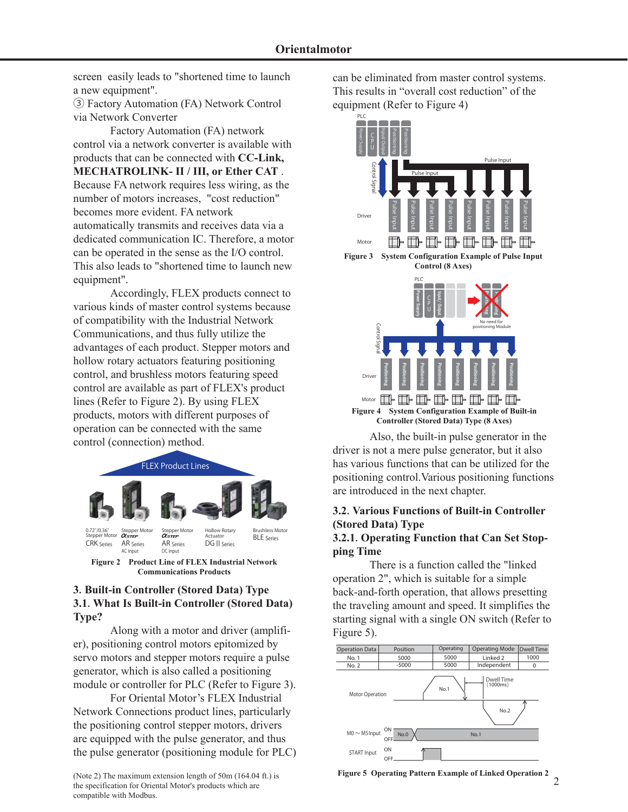screen easily leads to "shortened time to launch a new equipment".

③ Factory Automation (FA) Network Control via Network Converter

 Factory Automation (FA) network control via a network converter is available with products that can be connected with **CC-Link, MECHATROLINK- II / III, or Ether CAT** . Because FA network requires less wiring, as the number of motors increases, "cost reduction" becomes more evident. FA network automatically transmits and receives data via a dedicated communication IC. Therefore, a motor can be operated in the sense as the I/O control. This also leads to "shortened time to launch new equipment".

 Accordingly, FLEX products connect to various kinds of master control systems because of compatibility with the Industrial Network Communications, and thus fully utilize the advantages of each product. Stepper motors and hollow rotary actuators featuring positioning control, and brushless motors featuring speed control are available as part of FLEX's product lines (Refer to Figure 2). By using FLEX products, motors with different purposes of operation can be connected with the same control (connection) method.



**Communications Products**

### **3**.**Built-in Controller (Stored Data) Type 3.1**.**What Is Built-in Controller (Stored Data) Type?**

 Along with a motor and driver (amplifier), positioning control motors epitomized by servo motors and stepper motors require a pulse generator, which is also called a positioning module or controller for PLC (Refer to Figure 3).

 For Oriental Motor's FLEX Industrial Network Connections product lines, particularly the positioning control stepper motors, drivers are equipped with the pulse generator, and thus the pulse generator (positioning module for PLC)

(Note 2) The maximum extension length of 50m (164.04 ft.) is the specification for Oriental Motor's products which are compatible with Modbus.

can be eliminated from master control systems. This results in "overall cost reduction" of the equipment (Refer to Figure 4)



 Also, the built-in pulse generator in the driver is not a mere pulse generator, but it also has various functions that can be utilized for the positioning control.Various positioning functions are introduced in the next chapter.

# **3.2**.**Various Functions of Built-in Controller (Stored Data) Type**

## **3.2.1**.**Operating Function that Can Set Stopping Time**

 There is a function called the "linked operation 2", which is suitable for a simple back-and-forth operation, that allows presetting the traveling amount and speed. It simplifies the starting signal with a single ON switch (Refer to Figure 5).



**Figure 5 Operating Pattern Example of Linked Operation 2**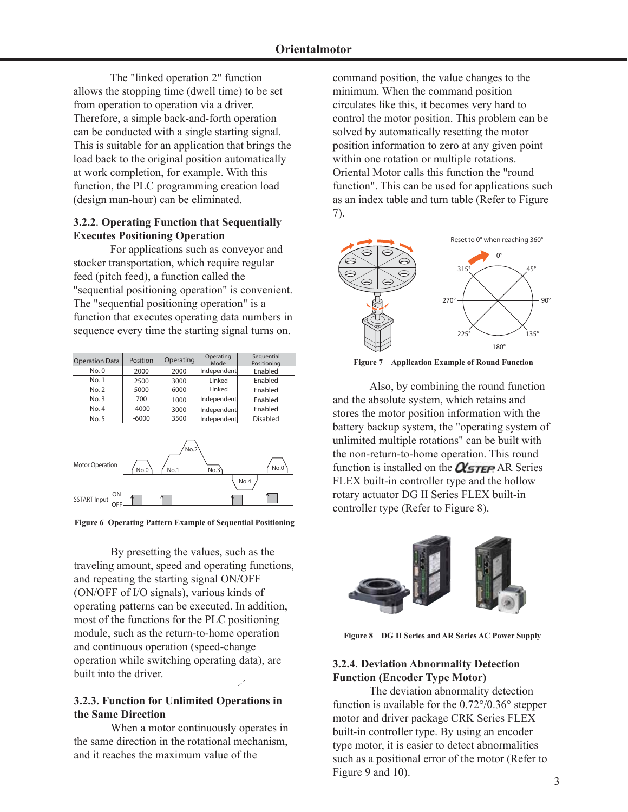The "linked operation 2" function allows the stopping time (dwell time) to be set from operation to operation via a driver. Therefore, a simple back-and-forth operation can be conducted with a single starting signal. This is suitable for an application that brings the load back to the original position automatically at work completion, for example. With this function, the PLC programming creation load (design man-hour) can be eliminated.

### **3.2.2**.**Operating Function that Sequentially Executes Positioning Operation**

 For applications such as conveyor and stocker transportation, which require regular feed (pitch feed), a function called the "sequential positioning operation" is convenient. The "sequential positioning operation" is a function that executes operating data numbers in sequence every time the starting signal turns on.

| <b>Operation Data</b> | Position | Operating | Operating<br>Mode | Sequential<br>Positioning |  |  |
|-----------------------|----------|-----------|-------------------|---------------------------|--|--|
| No. 0                 | 2000     | 2000      | Independent       | Enabled                   |  |  |
| No. 1                 | 2500     | 3000      | Linked            | Enabled                   |  |  |
| No. 2                 | 5000     | 6000      | Linked            | Enabled                   |  |  |
| No.3                  | 700      | 1000      | Independent       | Enabled                   |  |  |
| No. 4                 | $-4000$  | 3000      | Independent       | Enabled                   |  |  |
| No. 5                 | $-6000$  | 3500      | Independent       | Disabled                  |  |  |



**Figure 6 Operating Pattern Example of Sequential Positioning** 

 By presetting the values, such as the traveling amount, speed and operating functions, and repeating the starting signal ON/OFF (ON/OFF of I/O signals), various kinds of operating patterns can be executed. In addition, most of the functions for the PLC positioning module, such as the return-to-home operation and continuous operation (speed-change operation while switching operating data), are built into the driver.

### **3.2.3. Function for Unlimited Operations in the Same Direction**

 When a motor continuously operates in the same direction in the rotational mechanism, and it reaches the maximum value of the

command position, the value changes to the minimum. When the command position circulates like this, it becomes very hard to control the motor position. This problem can be solved by automatically resetting the motor position information to zero at any given point within one rotation or multiple rotations. Oriental Motor calls this function the "round function". This can be used for applications such as an index table and turn table (Refer to Figure 7).



**Figure 7 Application Example of Round Function**

 Also, by combining the round function and the absolute system, which retains and stores the motor position information with the battery backup system, the "operating system of unlimited multiple rotations" can be built with the non-return-to-home operation. This round function is installed on the  $\alpha$ <sub>STEP</sub> AR Series FLEX built-in controller type and the hollow rotary actuator DG II Series FLEX built-in controller type (Refer to Figure 8).



**Figure 8 DG II Series and AR Series AC Power Supply** 

## **3.2.4**.**Deviation Abnormality Detection Function (Encoder Type Motor)**

 The deviation abnormality detection function is available for the 0.72°/0.36° stepper motor and driver package CRK Series FLEX built-in controller type. By using an encoder type motor, it is easier to detect abnormalities such as a positional error of the motor (Refer to Figure 9 and 10).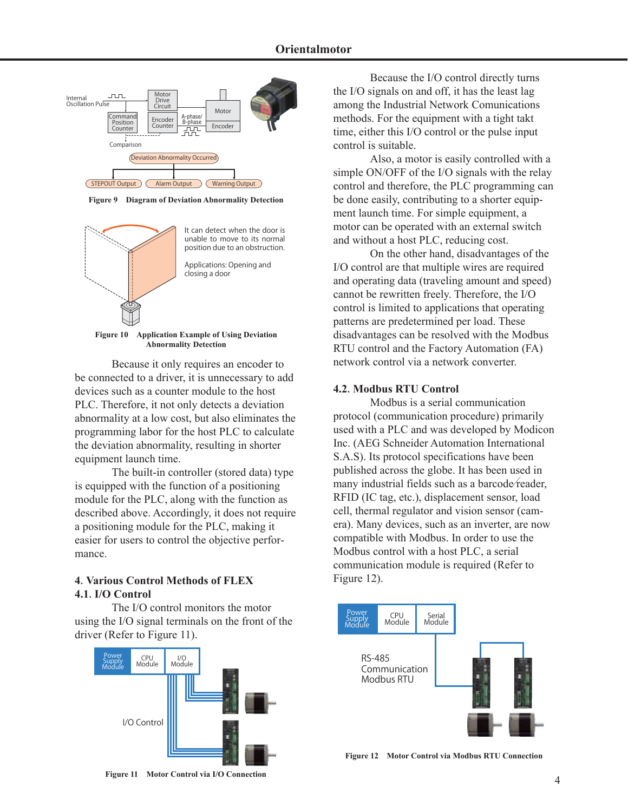

**Figure 9 Diagram of Deviation Abnormality Detection**



**Figure 10 Application Example of Using Deviation Abnormality Detection**

Because it only requires an encoder to be connected to a driver, it is unnecessary to add devices such as a counter module to the host PLC. Therefore, it not only detects a deviation abnormality at a low cost, but also eliminates the programming labor for the host PLC to calculate the deviation abnormality, resulting in shorter equipment launch time.

 The built-in controller (stored data) type is equipped with the function of a positioning module for the PLC, along with the function as described above. Accordingly, it does not require a positioning module for the PLC, making it easier for users to control the objective performance.

### **4**.**Various Control Methods of FLEX 4.1**.**I/O Control**

 The I/O control monitors the motor using the I/O signal terminals on the front of the driver (Refer to Figure 11).



 Because the I/O control directly turns the I/O signals on and off, it has the least lag among the Industrial Network Comunications methods. For the equipment with a tight takt time, either this I/O control or the pulse input control is suitable.

 Also, a motor is easily controlled with a simple ON/OFF of the I/O signals with the relay control and therefore, the PLC programming can be done easily, contributing to a shorter equipment launch time. For simple equipment, a motor can be operated with an external switch and without a host PLC, reducing cost.

 On the other hand, disadvantages of the I/O control are that multiple wires are required and operating data (traveling amount and speed) cannot be rewritten freely. Therefore, the I/O control is limited to applications that operating patterns are predetermined per load. These disadvantages can be resolved with the Modbus RTU control and the Factory Automation (FA) network control via a network converter.

#### **4.2**.**Modbus RTU Control**

 Modbus is a serial communication protocol (communication procedure) primarily used with a PLC and was developed by Modicon Inc. (AEG Schneider Automation International S.A.S). Its protocol specifications have been published across the globe. It has been used in many industrial fields such as a barcode/reader, RFID (IC tag, etc.), displacement sensor, load cell, thermal regulator and vision sensor (camera). Many devices, such as an inverter, are now compatible with Modbus. In order to use the Modbus control with a host PLC, a serial communication module is required (Refer to Figure 12).



**Figure 12 Motor Control via Modbus RTU Connection**

**Figure 11 Motor Control via I/O Connection**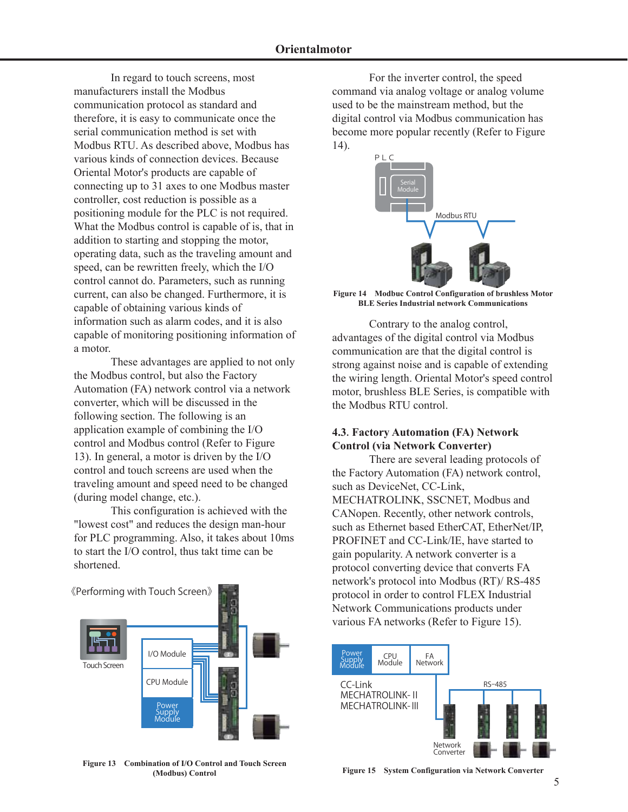In regard to touch screens, most manufacturers install the Modbus communication protocol as standard and therefore, it is easy to communicate once the serial communication method is set with Modbus RTU. As described above, Modbus has various kinds of connection devices. Because Oriental Motor's products are capable of connecting up to 31 axes to one Modbus master controller, cost reduction is possible as a positioning module for the PLC is not required. What the Modbus control is capable of is, that in addition to starting and stopping the motor, operating data, such as the traveling amount and speed, can be rewritten freely, which the I/O control cannot do. Parameters, such as running current, can also be changed. Furthermore, it is capable of obtaining various kinds of information such as alarm codes, and it is also capable of monitoring positioning information of a motor.

 These advantages are applied to not only the Modbus control, but also the Factory Automation (FA) network control via a network converter, which will be discussed in the following section. The following is an application example of combining the I/O control and Modbus control (Refer to Figure 13). In general, a motor is driven by the I/O control and touch screens are used when the traveling amount and speed need to be changed (during model change, etc.).

 This configuration is achieved with the "lowest cost" and reduces the design man-hour for PLC programming. Also, it takes about 10ms to start the I/O control, thus takt time can be shortened.

《Performing with Touch Screen》



**Figure 13 Combination of I/O Control and Touch Screen (Modbus) Control**

 For the inverter control, the speed command via analog voltage or analog volume used to be the mainstream method, but the digital control via Modbus communication has become more popular recently (Refer to Figure 14).



**Figure 14 Modbuc Control Configuration of brushless Motor BLE Series Industrial network Communications**

 Contrary to the analog control, advantages of the digital control via Modbus communication are that the digital control is strong against noise and is capable of extending the wiring length. Oriental Motor's speed control motor, brushless BLE Series, is compatible with the Modbus RTU control.

### **4.3**.**Factory Automation (FA) Network Control (via Network Converter)**

 There are several leading protocols of the Factory Automation (FA) network control, such as DeviceNet, CC-Link, MECHATROLINK, SSCNET, Modbus and CANopen. Recently, other network controls, such as Ethernet based EtherCAT, EtherNet/IP, PROFINET and CC-Link/IE, have started to gain popularity. A network converter is a protocol converting device that converts FA network's protocol into Modbus (RT)/ RS-485 protocol in order to control FLEX Industrial Network Communications products under various FA networks (Refer to Figure 15).



**Figure 15 System Configuration via Network Converter**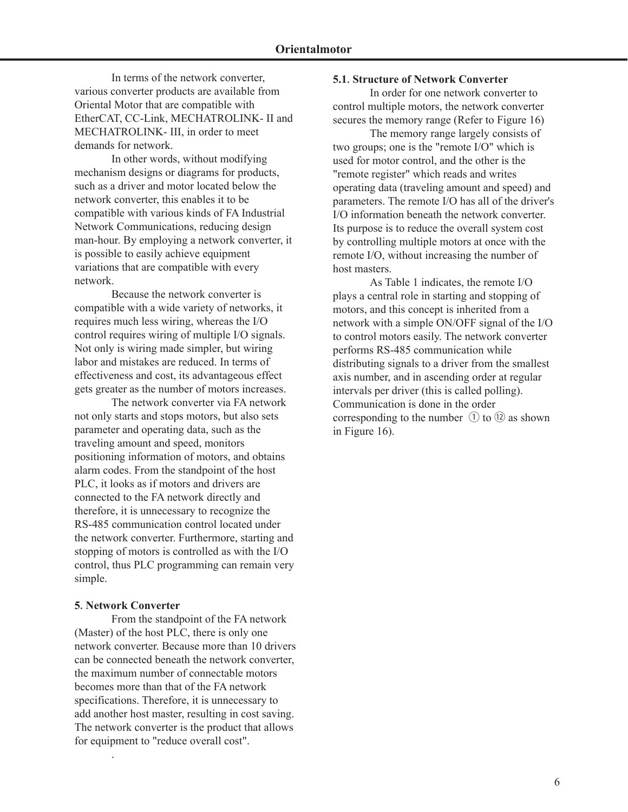In terms of the network converter, various converter products are available from Oriental Motor that are compatible with EtherCAT, CC-Link, MECHATROLINK- II and MECHATROLINK- III, in order to meet demands for network.

 In other words, without modifying mechanism designs or diagrams for products, such as a driver and motor located below the network converter, this enables it to be compatible with various kinds of FA Industrial Network Communications, reducing design man-hour. By employing a network converter, it is possible to easily achieve equipment variations that are compatible with every network.

 Because the network converter is compatible with a wide variety of networks, it requires much less wiring, whereas the I/O control requires wiring of multiple I/O signals. Not only is wiring made simpler, but wiring labor and mistakes are reduced. In terms of effectiveness and cost, its advantageous effect gets greater as the number of motors increases.

 The network converter via FA network not only starts and stops motors, but also sets parameter and operating data, such as the traveling amount and speed, monitors positioning information of motors, and obtains alarm codes. From the standpoint of the host PLC, it looks as if motors and drivers are connected to the FA network directly and therefore, it is unnecessary to recognize the RS-485 communication control located under the network converter. Furthermore, starting and stopping of motors is controlled as with the I/O control, thus PLC programming can remain very simple.

#### **5**.**Network Converter**

.

 From the standpoint of the FA network (Master) of the host PLC, there is only one network converter. Because more than 10 drivers can be connected beneath the network converter, the maximum number of connectable motors becomes more than that of the FA network specifications. Therefore, it is unnecessary to add another host master, resulting in cost saving. The network converter is the product that allows for equipment to "reduce overall cost".

#### **5.1**.**Structure of Network Converter**

In order for one network converter to control multiple motors, the network converter secures the memory range (Refer to Figure 16)

 The memory range largely consists of two groups; one is the "remote I/O" which is used for motor control, and the other is the "remote register" which reads and writes operating data (traveling amount and speed) and parameters. The remote I/O has all of the driver's I/O information beneath the network converter. Its purpose is to reduce the overall system cost by controlling multiple motors at once with the remote I/O, without increasing the number of host masters.

 As Table 1 indicates, the remote I/O plays a central role in starting and stopping of motors, and this concept is inherited from a network with a simple ON/OFF signal of the I/O to control motors easily. The network converter performs RS-485 communication while distributing signals to a driver from the smallest axis number, and in ascending order at regular intervals per driver (this is called polling). Communication is done in the order corresponding to the number  $\circled{1}$  to  $\circled{2}$  as shown in Figure 16).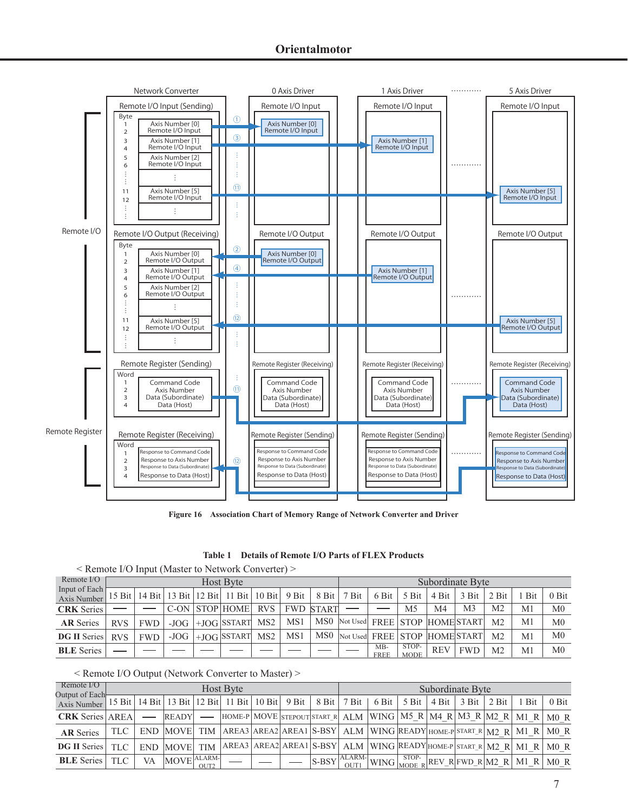

**Figure 16 Association Chart of Memory Range of Network Converter and Driver**

| Table 1 Details of Remote I/O Parts of FLEX Products |
|------------------------------------------------------|
|------------------------------------------------------|

| $\leq$ Remote I/O Input (Master to Network Converter) $\geq$ |            |                  |  |  |                                                                             |     |     |                  |                                         |                    |                      |            |                |                |                |                |  |  |  |
|--------------------------------------------------------------|------------|------------------|--|--|-----------------------------------------------------------------------------|-----|-----|------------------|-----------------------------------------|--------------------|----------------------|------------|----------------|----------------|----------------|----------------|--|--|--|
| Remote I/O                                                   |            | <b>Host Byte</b> |  |  |                                                                             |     |     |                  |                                         |                    | Subordinate Byte     |            |                |                |                |                |  |  |  |
| Input of Each<br>Axis Number                                 |            |                  |  |  | 15 Bit   14 Bit   13 Bit   12 Bit   11 Bit   10 Bit   9 Bit   8 Bit   7 Bit |     |     |                  |                                         | $6 \text{ Bit}$    | $5 \text{ Bit}$      | $4$ Bit    | 3 Bit          | 2 Bit          | <b>Bit</b>     | $0$ Bit        |  |  |  |
| <b>CRK</b> Series                                            |            |                  |  |  | C-ON STOP HOME RVS                                                          |     |     | <b>FWD START</b> |                                         |                    | M <sub>5</sub>       | M4         | M <sub>3</sub> | M <sub>2</sub> | M <sub>1</sub> | M <sub>0</sub> |  |  |  |
| <b>AR</b> Series                                             | <b>RVS</b> | FWD              |  |  | $-JOG$ $ +JOG$ SSTART                                                       | MS2 | MS1 |                  | MS0 Not Used FREE STOP HOMESTART        |                    |                      |            |                | M <sub>2</sub> | M1             | M <sub>0</sub> |  |  |  |
| <b>DG II Series</b>                                          | <b>RVS</b> | FWD              |  |  | -JOG $ +$ JOG SSTART MS2                                                    |     | MS1 |                  | MS0  Not Used   FREE   STOP  HOME START |                    |                      |            |                | M <sub>2</sub> | M <sub>1</sub> | M <sub>0</sub> |  |  |  |
| <b>BLE</b> Series                                            |            |                  |  |  |                                                                             |     |     |                  |                                         | MB-<br><b>FREE</b> | STOP-<br><b>MODE</b> | <b>REV</b> | <b>FWD</b>     | M <sub>2</sub> | M1             | M <sub>0</sub> |  |  |  |

| < Remote I/O Output (Network Converter to Master) > |  |  |  |
|-----------------------------------------------------|--|--|--|
|-----------------------------------------------------|--|--|--|

| Remote I/O<br>Output of Each- |       |    |              |      | <b>Host Byte</b>                                                            |  | Subordinate Byte |  |                 |                |  |                       |       |                                                                                                                                                                                                                                                                             |         |
|-------------------------------|-------|----|--------------|------|-----------------------------------------------------------------------------|--|------------------|--|-----------------|----------------|--|-----------------------|-------|-----------------------------------------------------------------------------------------------------------------------------------------------------------------------------------------------------------------------------------------------------------------------------|---------|
| Axis Number                   |       |    |              |      | 15 Bit   14 Bit   13 Bit   12 Bit   11 Bit   10 Bit   9 Bit   8 Bit   7 Bit |  |                  |  | $6 \text{ Bit}$ | $5 \text{Bit}$ |  | $4 \text{ Bit}$ 3 Bit | 2 Bit | <b>Bit</b>                                                                                                                                                                                                                                                                  | $0$ Bit |
| <b>CRK</b> Series   AREA      |       |    | <b>READY</b> |      |                                                                             |  |                  |  |                 |                |  |                       |       | $\overline{a}$ HOME-P MOVE STEPOUT START R ALM WING   M5 R   M4 R   M3 R   M2 R   M1 R   M0 R                                                                                                                                                                               |         |
| <b>AR</b> Series              | TLC - |    |              |      |                                                                             |  |                  |  |                 |                |  |                       |       | END MOVE TIM AREA3 AREA2 AREA1 S-BSY ALM WING READY HOME-P START R M2 R M1 R M0 R                                                                                                                                                                                           |         |
| <b>DG II Series</b>           | TLC.  |    | END MOVE TIM |      |                                                                             |  |                  |  |                 |                |  |                       |       | $AREA3   AREA2   AREA1   S-BSY   ALM   WING   READY   HOME-P   STATE R   M2 R   M1 R   M0 R$                                                                                                                                                                                |         |
| <b>BLE</b> Series             | TLC.  | VA | MOVE ALARM-  | OUT2 |                                                                             |  |                  |  |                 |                |  |                       |       | $\boxed{\text{S-BSY} \begin{bmatrix} \text{ALARM-}} \text{WING} \end{bmatrix} \begin{bmatrix} \text{STOP-}} \text{REV\_R} \end{bmatrix} \begin{bmatrix} \text{FWD\_R} \end{bmatrix} \begin{bmatrix} \text{M1\_R} \end{bmatrix} \begin{bmatrix} \text{M0\_R} \end{bmatrix}}$ |         |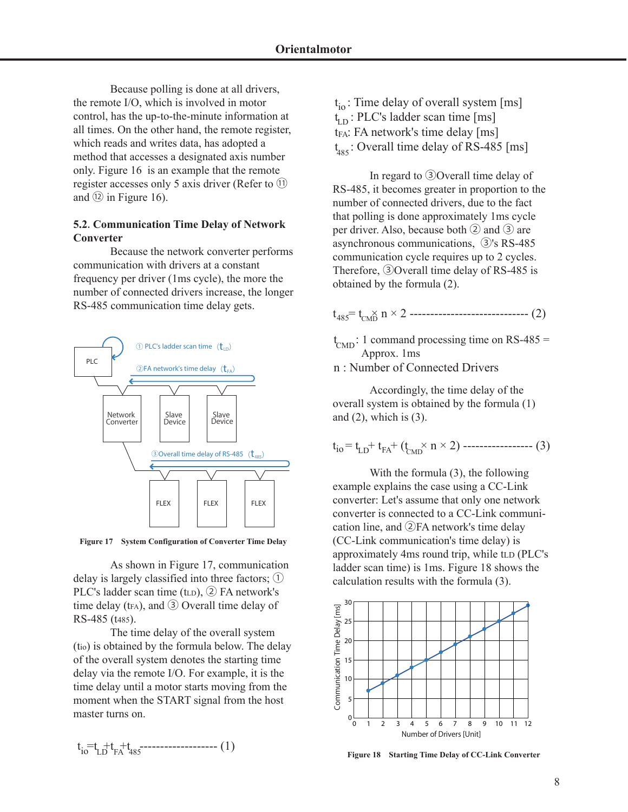Because polling is done at all drivers, the remote I/O, which is involved in motor control, has the up-to-the-minute information at all times. On the other hand, the remote register, which reads and writes data, has adopted a method that accesses a designated axis number only. Figure 16 is an example that the remote register accesses only 5 axis driver (Refer to ⑪ and  $(2)$  in Figure 16).

### **5.2**.**Communication Time Delay of Network Converter**

 Because the network converter performs communication with drivers at a constant frequency per driver (1ms cycle), the more the number of connected drivers increase, the longer RS-485 communication time delay gets.



**Figure 17 System Configuration of Converter Time Delay**

As shown in Figure 17, communication delay is largely classified into three factors; ① PLC's ladder scan time (t<sub>LD</sub>), 2 FA network's time delay (t<sub>FA</sub>), and  $\circled{3}$  Overall time delay of RS-485 (t485).

 The time delay of the overall system (tio) is obtained by the formula below. The delay of the overall system denotes the starting time delay via the remote I/O. For example, it is the time delay until a motor starts moving from the moment when the START signal from the host master turns on.

$$
t_i = t_{LD} + t_{FA} + t_{485} - \cdots - \cdots - \cdots - (1)
$$

t<sub>io</sub>: Time delay of overall system [ms]  $t_{LD}$ : PLC's ladder scan time [ms]  $t_{FA}$ : FA network's time delay [ms]  $t_{485}$ : Overall time delay of RS-485 [ms]

 In regard to ③Overall time delay of RS-485, it becomes greater in proportion to the number of connected drivers, due to the fact that polling is done approximately 1ms cycle per driver. Also, because both  $(2)$  and  $(3)$  are asynchronous communications, ③'s RS-485 communication cycle requires up to 2 cycles. Therefore, ③Overall time delay of RS-485 is obtained by the formula (2).

 $t_{485} = t_{cm} \times 2$  -------------------------------- (2)

 $t_{\text{CMD}}$ : 1 command processing time on RS-485 = Approx. 1ms

n : Number of Connected Drivers

 Accordingly, the time delay of the overall system is obtained by the formula (1) and  $(2)$ , which is  $(3)$ .

 $t_{io} = t_{LD} + t_{FA} + (t_{CMD} \times n \times 2)$  ----------------- (3)

 With the formula (3), the following example explains the case using a CC-Link converter: Let's assume that only one network converter is connected to a CC-Link communication line, and ②FA network's time delay (CC-Link communication's time delay) is approximately 4ms round trip, while tLD (PLC's ladder scan time) is 1ms. Figure 18 shows the calculation results with the formula (3).



**Figure 18 Starting Time Delay of CC-Link Converter**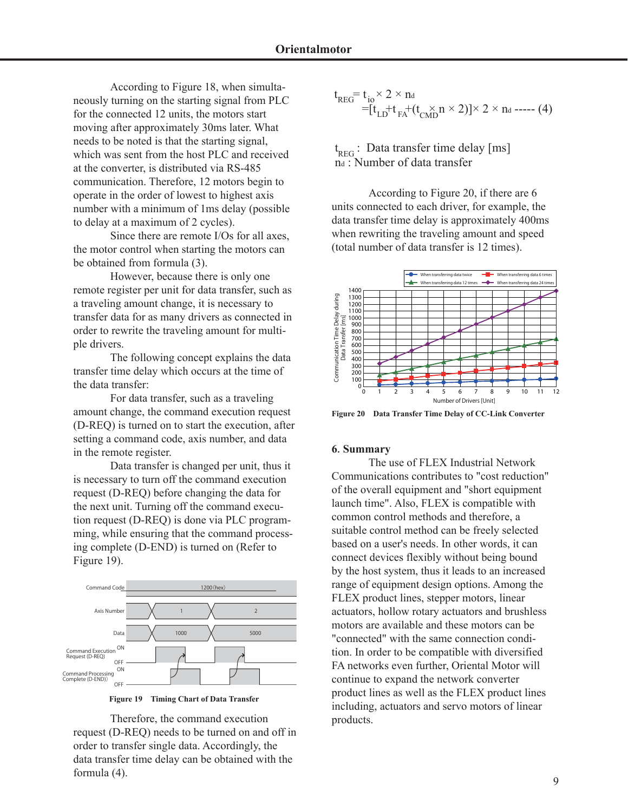According to Figure 18, when simultaneously turning on the starting signal from PLC for the connected 12 units, the motors start moving after approximately 30ms later. What needs to be noted is that the starting signal, which was sent from the host PLC and received at the converter, is distributed via RS-485 communication. Therefore, 12 motors begin to operate in the order of lowest to highest axis number with a minimum of 1ms delay (possible to delay at a maximum of 2 cycles).

 Since there are remote I/Os for all axes, the motor control when starting the motors can be obtained from formula (3).

 However, because there is only one remote register per unit for data transfer, such as a traveling amount change, it is necessary to transfer data for as many drivers as connected in order to rewrite the traveling amount for multiple drivers.

 The following concept explains the data transfer time delay which occurs at the time of the data transfer:

 For data transfer, such as a traveling amount change, the command execution request (D-REQ) is turned on to start the execution, after setting a command code, axis number, and data in the remote register.

 Data transfer is changed per unit, thus it is necessary to turn off the command execution request (D-REQ) before changing the data for the next unit. Turning off the command execution request (D-REQ) is done via PLC programming, while ensuring that the command processing complete (D-END) is turned on (Refer to Figure 19).



**Figure 19 Timing Chart of Data Transfer**

 Therefore, the command execution request (D-REQ) needs to be turned on and off in order to transfer single data. Accordingly, the data transfer time delay can be obtained with the formula (4).

$$
t_{\text{REG}} = t_{\text{io}} \times 2 \times n_d
$$
  
=  $[t_{\text{LD}} + t_{\text{FA}} + (t_{\text{CMD}} \times 2)] \times 2 \times n_d$  ----(4)

 $t_{\rm {rec}}$ : Data transfer time delay [ms]  $r_{\text{REG}}$ . Data transfer time den

 According to Figure 20, if there are 6 units connected to each driver, for example, the data transfer time delay is approximately 400ms when rewriting the traveling amount and speed (total number of data transfer is 12 times).



**Figure 20 Data Transfer Time Delay of CC-Link Converter**

#### **6**.**Summary**

 The use of FLEX Industrial Network Communications contributes to "cost reduction" of the overall equipment and "short equipment launch time". Also, FLEX is compatible with common control methods and therefore, a suitable control method can be freely selected based on a user's needs. In other words, it can connect devices flexibly without being bound by the host system, thus it leads to an increased range of equipment design options. Among the FLEX product lines, stepper motors, linear actuators, hollow rotary actuators and brushless motors are available and these motors can be "connected" with the same connection condition. In order to be compatible with diversified FA networks even further, Oriental Motor will continue to expand the network converter product lines as well as the FLEX product lines including, actuators and servo motors of linear products.